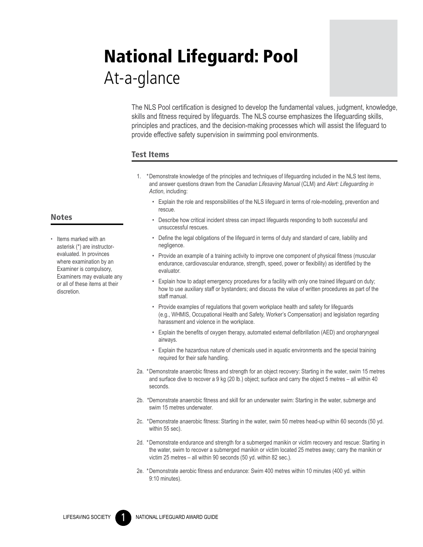# National Lifeguard: Pool At-a-glance

The NLS Pool certification is designed to develop the fundamental values, judgment, knowledge, skills and fitness required by lifeguards. The NLS course emphasizes the lifeguarding skills, principles and practices, and the decision-making processes which will assist the lifeguard to provide effective safety supervision in swimming pool environments.

#### Test Items

- 1. \*Demonstrate knowledge of the principles and techniques of lifeguarding included in the NLS test items, and answer questions drawn from the *Canadian Lifesaving Manual* (CLM) and *Alert: Lifeguarding in Action*, including:
	- • Explain the role and responsibilities of the NLS lifeguard in terms of role-modeling, prevention and rescue.
	- • Describe how critical incident stress can impact lifeguards responding to both successful and unsuccessful rescues.
	- • Define the legal obligations of the lifeguard in terms of duty and standard of care, liability and negligence.
	- • Provide an example of a training activity to improve one component of physical fitness (muscular endurance, cardiovascular endurance, strength, speed, power or flexibility) as identified by the evaluator.
	- • Explain how to adapt emergency procedures for a facility with only one trained lifeguard on duty; how to use auxiliary staff or bystanders; and discuss the value of written procedures as part of the staff manual.
	- Provide examples of regulations that govern workplace health and safety for lifeguards (e.g., WHMIS, Occupational Health and Safety, Worker's Compensation) and legislation regarding harassment and violence in the workplace.
	- • Explain the benefits of oxygen therapy, automated external defibrillation (AED) and oropharyngeal airways.
	- • Explain the hazardous nature of chemicals used in aquatic environments and the special training required for their safe handling.
- 2a. \* Demonstrate anaerobic fitness and strength for an object recovery: Starting in the water, swim 15 metres and surface dive to recover a 9 kg (20 lb.) object; surface and carry the object 5 metres – all within 40 seconds.
- 2b. \* Demonstrate anaerobic fitness and skill for an underwater swim: Starting in the water, submerge and swim 15 metres underwater.
- 2c. \* Demonstrate anaerobic fitness: Starting in the water, swim 50 metres head-up within 60 seconds (50 yd. within 55 sec).
- 2d. \* Demonstrate endurance and strength for a submerged manikin or victim recovery and rescue: Starting in the water, swim to recover a submerged manikin or victim located 25 metres away; carry the manikin or victim 25 metres – all within 90 seconds (50 yd. within 82 sec.).
- 2e. \* Demonstrate aerobic fitness and endurance: Swim 400 metres within 10 minutes (400 yd. within 9:10 minutes).

## **Notes**

• Items marked with an asterisk (\*) are instructorevaluated. In provinces where examination by an Examiner is compulsory, Examiners may evaluate any or all of these items at their discretion.